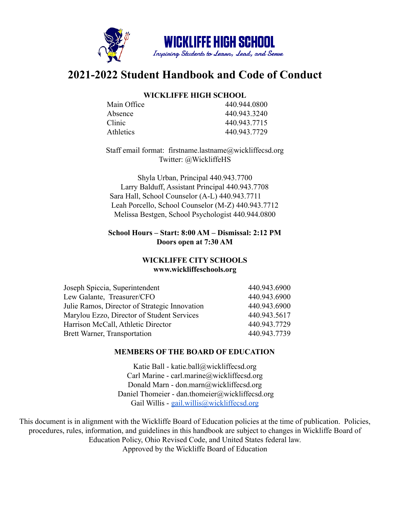

# **2021-2022 Student Handbook and Code of Conduct**

## **WICKLIFFE HIGH SCHOOL**

| Main Office | 440 944 0800 |
|-------------|--------------|
| Absence     | 440.943.3240 |
| Clinic      | 440 943 7715 |
| Athletics   | 440.943.7729 |
|             |              |

Staff email format: firstname.lastname@wickliffecsd.org Twitter: @WickliffeHS

Shyla Urban, Principal 440.943.7700 Larry Balduff, Assistant Principal 440.943.7708 Sara Hall, School Counselor (A-L) 440.943.7711 Leah Porcello, School Counselor (M-Z) 440.943.7712 Melissa Bestgen, School Psychologist 440.944.0800

## **School Hours – Start: 8:00 AM – Dismissal: 2:12 PM Doors open at 7:30 AM**

## **WICKLIFFE CITY SCHOOLS www.wickliffeschools.org**

| Joseph Spiccia, Superintendent                | 440.943.6900 |
|-----------------------------------------------|--------------|
| Lew Galante, Treasurer/CFO                    | 440.943.6900 |
| Julie Ramos, Director of Strategic Innovation | 440.943.6900 |
| Marylou Ezzo, Director of Student Services    | 440.943.5617 |
| Harrison McCall, Athletic Director            | 440.943.7729 |
| Brett Warner, Transportation                  | 440.943.7739 |

## **MEMBERS OF THE BOARD OF EDUCATION**

Katie Ball - katie.ball@wickliffecsd.org Carl Marine - carl.marine@wickliffecsd.org Donald Marn - don.marn@wickliffecsd.org Daniel Thomeier - dan.thomeier@wickliffecsd.org Gail Willis - [gail.willis@wickliffecsd.org](mailto:gail.willis@wickliffeschools.org)

This document is in alignment with the Wickliffe Board of Education policies at the time of publication. Policies, procedures, rules, information, and guidelines in this handbook are subject to changes in Wickliffe Board of Education Policy, Ohio Revised Code, and United States federal law. Approved by the Wickliffe Board of Education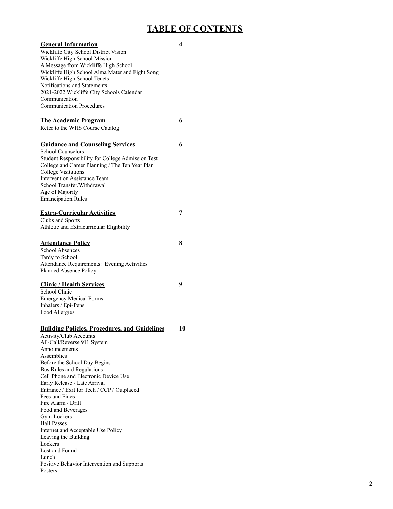## **TABLE OF CONTENTS**

| <b>General Information</b><br>Wickliffe City School District Vision<br>Wickliffe High School Mission<br>A Message from Wickliffe High School<br>Wickliffe High School Alma Mater and Fight Song<br>Wickliffe High School Tenets<br>Notifications and Statements<br>2021-2022 Wickliffe City Schools Calendar<br>Communication<br><b>Communication Procedures</b> | 4  |
|------------------------------------------------------------------------------------------------------------------------------------------------------------------------------------------------------------------------------------------------------------------------------------------------------------------------------------------------------------------|----|
| <u>The Academic Program</u><br>Refer to the WHS Course Catalog                                                                                                                                                                                                                                                                                                   | 6  |
| <b>Guidance and Counseling Services</b><br><b>School Counselors</b><br>Student Responsibility for College Admission Test<br>College and Career Planning / The Ten Year Plan<br><b>College Visitations</b><br><b>Intervention Assistance Team</b><br>School Transfer/Withdrawal<br>Age of Majority<br><b>Emancipation Rules</b>                                   | 6  |
| <b>Extra-Curricular Activities</b><br>Clubs and Sports<br>Athletic and Extracurricular Eligibility                                                                                                                                                                                                                                                               | 7  |
| <b>Attendance Policy</b><br><b>School Absences</b><br>Tardy to School<br>Attendance Requirements: Evening Activities<br>Planned Absence Policy                                                                                                                                                                                                                   | 8  |
| <b>Clinic / Health Services</b><br>School Clinic<br><b>Emergency Medical Forms</b><br>Inhalers / Epi-Pens<br>Food Allergies                                                                                                                                                                                                                                      | 9  |
| <b>Building Policies, Procedures, and Guidelines</b><br>Activity/Club Accounts<br>All-Call/Reverse 911 System<br>Announcements<br>Assemblies<br>Before the School Day Begins<br>Bus Rules and Regulations<br>Cell Phone and Electronic Device Use<br>Early Release / Late Arrival<br>Entrance / Exit for Tech / CCP / Outplaced                                  | 10 |

#### Posters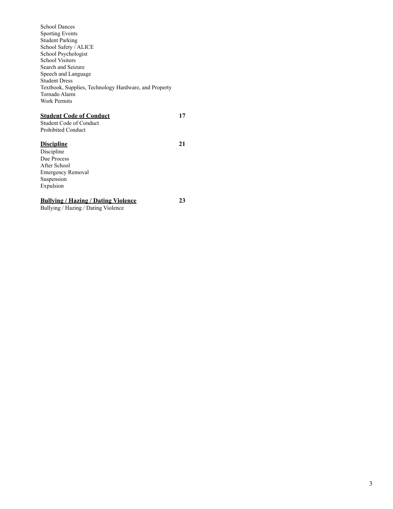| <b>School Dances</b>                                  |    |
|-------------------------------------------------------|----|
| <b>Sporting Events</b>                                |    |
| <b>Student Parking</b>                                |    |
| School Safety / ALICE                                 |    |
| School Psychologist                                   |    |
| <b>School Visitors</b>                                |    |
| Search and Seizure                                    |    |
| Speech and Language                                   |    |
| <b>Student Dress</b>                                  |    |
| Textbook, Supplies, Technology Hardware, and Property |    |
| Tornado Alarm                                         |    |
| <b>Work Permits</b>                                   |    |
|                                                       |    |
| <u> Student Code of Conduct</u>                       | 17 |
| <b>Student Code of Conduct</b>                        |    |
| <b>Prohibited Conduct</b>                             |    |
|                                                       |    |
| <u>Discipline</u>                                     | 21 |
| Discipline                                            |    |
| Due Process                                           |    |
| After School                                          |    |
| <b>Emergency Removal</b>                              |    |
| Suspension                                            |    |
| Expulsion                                             |    |
|                                                       |    |
| <u> Bullving / Hazing / Dating Violence</u>           | 23 |

Bullying / Hazing / Dating Violence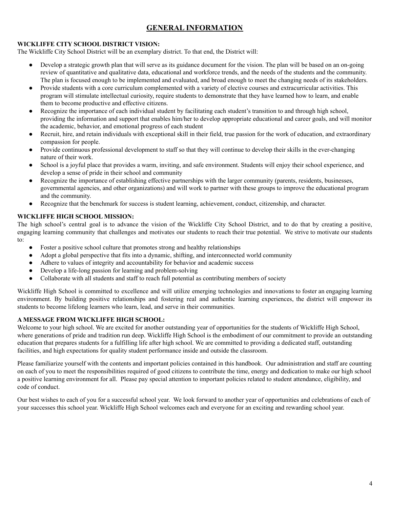## **GENERAL INFORMATION**

## **WICKLIFFE CITY SCHOOL DISTRICT VISION:**

The Wickliffe City School District will be an exemplary district. To that end, the District will:

- Develop a strategic growth plan that will serve as its guidance document for the vision. The plan will be based on an on-going review of quantitative and qualitative data, educational and workforce trends, and the needs of the students and the community. The plan is focused enough to be implemented and evaluated, and broad enough to meet the changing needs of its stakeholders.
- Provide students with a core curriculum complemented with a variety of elective courses and extracurricular activities. This program will stimulate intellectual curiosity, require students to demonstrate that they have learned how to learn, and enable them to become productive and effective citizens.
- Recognize the importance of each individual student by facilitating each student's transition to and through high school, providing the information and support that enables him/her to develop appropriate educational and career goals, and will monitor the academic, behavior, and emotional progress of each student
- Recruit, hire, and retain individuals with exceptional skill in their field, true passion for the work of education, and extraordinary compassion for people.
- Provide continuous professional development to staff so that they will continue to develop their skills in the ever-changing nature of their work.
- School is a joyful place that provides a warm, inviting, and safe environment. Students will enjoy their school experience, and develop a sense of pride in their school and community
- Recognize the importance of establishing effective partnerships with the larger community (parents, residents, businesses, governmental agencies, and other organizations) and will work to partner with these groups to improve the educational program and the community.
- Recognize that the benchmark for success is student learning, achievement, conduct, citizenship, and character.

## **WICKLIFFE HIGH SCHOOL MISSION:**

The high school's central goal is to advance the vision of the Wickliffe City School District, and to do that by creating a positive, engaging learning community that challenges and motivates our students to reach their true potential. We strive to motivate our students to:

- Foster a positive school culture that promotes strong and healthy relationships
- Adopt a global perspective that fits into a dynamic, shifting, and interconnected world community
- Adhere to values of integrity and accountability for behavior and academic success
- Develop a life-long passion for learning and problem-solving
- Collaborate with all students and staff to reach full potential as contributing members of society

Wickliffe High School is committed to excellence and will utilize emerging technologies and innovations to foster an engaging learning environment. By building positive relationships and fostering real and authentic learning experiences, the district will empower its students to become lifelong learners who learn, lead, and serve in their communities.

## **A MESSAGE FROM WICKLIFFE HIGH SCHOOL:**

Welcome to your high school. We are excited for another outstanding year of opportunities for the students of Wickliffe High School, where generations of pride and tradition run deep. Wickliffe High School is the embodiment of our commitment to provide an outstanding education that prepares students for a fulfilling life after high school. We are committed to providing a dedicated staff, outstanding facilities, and high expectations for quality student performance inside and outside the classroom.

Please familiarize yourself with the contents and important policies contained in this handbook. Our administration and staff are counting on each of you to meet the responsibilities required of good citizens to contribute the time, energy and dedication to make our high school a positive learning environment for all. Please pay special attention to important policies related to student attendance, eligibility, and code of conduct.

Our best wishes to each of you for a successful school year. We look forward to another year of opportunities and celebrations of each of your successes this school year. Wickliffe High School welcomes each and everyone for an exciting and rewarding school year.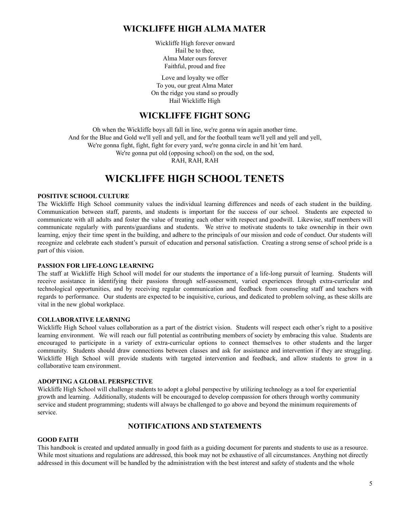## **WICKLIFFE HIGH ALMA MATER**

Wickliffe High forever onward Hail be to thee, Alma Mater ours forever Faithful, proud and free

Love and loyalty we offer To you, our great Alma Mater On the ridge you stand so proudly Hail Wickliffe High

## **WICKLIFFE FIGHT SONG**

Oh when the Wickliffe boys all fall in line, we're gonna win again another time. And for the Blue and Gold we'll yell and yell, and for the football team we'll yell and yell and yell, We're gonna fight, fight, fight for every yard, we're gonna circle in and hit 'em hard. We're gonna put old (opposing school) on the sod, on the sod, RAH, RAH, RAH

## **WICKLIFFE HIGH SCHOOL TENETS**

#### **POSITIVE SCHOOL CULTURE**

The Wickliffe High School community values the individual learning differences and needs of each student in the building. Communication between staff, parents, and students is important for the success of our school. Students are expected to communicate with all adults and foster the value of treating each other with respect and goodwill. Likewise, staff members will communicate regularly with parents/guardians and students. We strive to motivate students to take ownership in their own learning, enjoy their time spent in the building, and adhere to the principals of our mission and code of conduct. Our students will recognize and celebrate each student's pursuit of education and personal satisfaction. Creating a strong sense of school pride is a part of this vision.

## **PASSION FOR LIFE-LONG LEARNING**

The staff at Wickliffe High School will model for our students the importance of a life-long pursuit of learning. Students will receive assistance in identifying their passions through self-assessment, varied experiences through extra-curricular and technological opportunities, and by receiving regular communication and feedback from counseling staff and teachers with regards to performance. Our students are expected to be inquisitive, curious, and dedicated to problem solving, as these skills are vital in the new global workplace.

#### **COLLABORATIVE LEARNING**

Wickliffe High School values collaboration as a part of the district vision. Students will respect each other's right to a positive learning environment. We will reach our full potential as contributing members of society by embracing this value. Students are encouraged to participate in a variety of extra-curricular options to connect themselves to other students and the larger community. Students should draw connections between classes and ask for assistance and intervention if they are struggling. Wickliffe High School will provide students with targeted intervention and feedback, and allow students to grow in a collaborative team environment.

#### **ADOPTING A GLOBAL PERSPECTIVE**

Wickliffe High School will challenge students to adopt a global perspective by utilizing technology as a tool for experiential growth and learning. Additionally, students will be encouraged to develop compassion for others through worthy community service and student programming; students will always be challenged to go above and beyond the minimum requirements of service.

## **NOTIFICATIONS AND STATEMENTS**

#### **GOOD FAITH**

This handbook is created and updated annually in good faith as a guiding document for parents and students to use as a resource. While most situations and regulations are addressed, this book may not be exhaustive of all circumstances. Anything not directly addressed in this document will be handled by the administration with the best interest and safety of students and the whole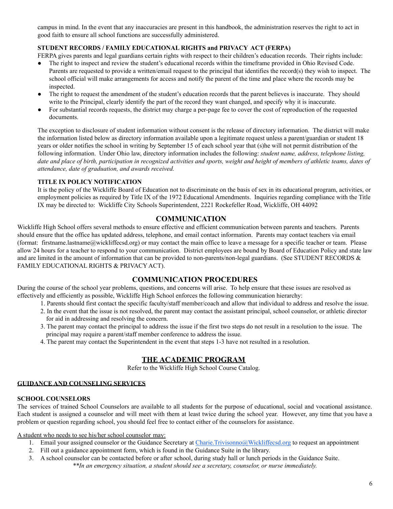campus in mind. In the event that any inaccuracies are present in this handbook, the administration reserves the right to act in good faith to ensure all school functions are successfully administered.

## **STUDENT RECORDS / FAMILY EDUCATIONAL RIGHTS and PRIVACY ACT (FERPA)**

FERPA gives parents and legal guardians certain rights with respect to their children's education records. Their rights include:

- The right to inspect and review the student's educational records within the timeframe provided in Ohio Revised Code. Parents are requested to provide a written/email request to the principal that identifies the record(s) they wish to inspect. The school official will make arrangements for access and notify the parent of the time and place where the records may be inspected.
- The right to request the amendment of the student's education records that the parent believes is inaccurate. They should write to the Principal, clearly identify the part of the record they want changed, and specify why it is inaccurate.
- For substantial records requests, the district may charge a per-page fee to cover the cost of reproduction of the requested documents.

The exception to disclosure of student information without consent is the release of directory information. The district will make the information listed below as directory information available upon a legitimate request unless a parent/guardian or student 18 years or older notifies the school in writing by September 15 of each school year that (s)he will not permit distribution of the following information. Under Ohio law, directory information includes the following: *student name, address, telephone listing,* date and place of birth, participation in recognized activities and sports, weight and height of members of athletic teams, dates of *attendance, date of graduation, and awards received.*

#### **TITLE IX POLICY NOTIFICATION**

It is the policy of the Wickliffe Board of Education not to discriminate on the basis of sex in its educational program, activities, or employment policies as required by Title IX of the 1972 Educational Amendments. Inquiries regarding compliance with the Title IX may be directed to: Wickliffe City Schools Superintendent, 2221 Rockefeller Road, Wickliffe, OH 44092

## **COMMUNICATION**

Wickliffe High School offers several methods to ensure effective and efficient communication between parents and teachers. Parents should ensure that the office has updated address, telephone, and email contact information. Parents may contact teachers via email (format: firstname.lastname@wickliffecsd.org) or may contact the main office to leave a message for a specific teacher or team. Please allow 24 hours for a teacher to respond to your communication. District employees are bound by Board of Education Policy and state law and are limited in the amount of information that can be provided to non-parents/non-legal guardians. (See STUDENT RECORDS & FAMILY EDUCATIONAL RIGHTS & PRIVACY ACT).

## **COMMUNICATION PROCEDURES**

During the course of the school year problems, questions, and concerns will arise. To help ensure that these issues are resolved as effectively and efficiently as possible, Wickliffe High School enforces the following communication hierarchy:

- 1. Parents should first contact the specific faculty/staff member/coach and allow that individual to address and resolve the issue.
- 2. In the event that the issue is not resolved, the parent may contact the assistant principal, school counselor, or athletic director for aid in addressing and resolving the concern.
- 3. The parent may contact the principal to address the issue if the first two steps do not result in a resolution to the issue. The principal may require a parent/staff member conference to address the issue.
- 4. The parent may contact the Superintendent in the event that steps 1-3 have not resulted in a resolution.

## **THE ACADEMIC PROGRAM**

Refer to the Wickliffe High School Course Catalog.

## **GUIDANCE AND COUNSELING SERVICES**

#### **SCHOOL COUNSELORS**

The services of trained School Counselors are available to all students for the purpose of educational, social and vocational assistance. Each student is assigned a counselor and will meet with them at least twice during the school year. However, any time that you have a problem or question regarding school, you should feel free to contact either of the counselors for assistance.

A student who needs to see his/her school counselor may:

- 1. Email your assigned counselor or the Guidance Secretary at [Charie.Trivisonno@Wickliffecsd.org](mailto:Charie.Trivisonno@Wickliffecsd.org) to request an appointment
- 2. Fill out a guidance appointment form, which is found in the Guidance Suite in the library.
- 3. A school counselor can be contacted before or after school, during study hall or lunch periods in the Guidance Suite.

*\*\*In an emergency situation, a student should see a secretary, counselor, or nurse immediately.*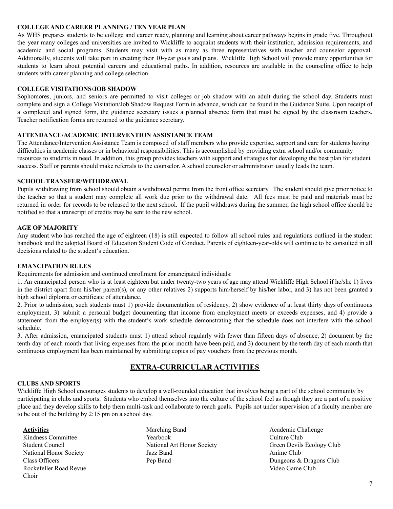#### **COLLEGE AND CAREER PLANNING / TEN YEAR PLAN**

As WHS prepares students to be college and career ready, planning and learning about career pathways begins in grade five. Throughout the year many colleges and universities are invited to Wickliffe to acquaint students with their institution, admission requirements, and academic and social programs. Students may visit with as many as three representatives with teacher and counselor approval. Additionally, students will take part in creating their 10-year goals and plans. Wickliffe High School will provide many opportunities for students to learn about potential careers and educational paths. In addition, resources are available in the counseling office to help students with career planning and college selection.

#### **COLLEGE VISITATIONS/JOB SHADOW**

Sophomores, juniors, and seniors are permitted to visit colleges or job shadow with an adult during the school day. Students must complete and sign a College Visitation/Job Shadow Request Form in advance, which can be found in the Guidance Suite. Upon receipt of a completed and signed form, the guidance secretary issues a planned absence form that must be signed by the classroom teachers. Teacher notification forms are returned to the guidance secretary.

#### **ATTENDANCE/ACADEMIC INTERVENTION ASSISTANCE TEAM**

The Attendance/Intervention Assistance Team is composed of staff members who provide expertise, support and care for students having difficulties in academic classes or in behavioral responsibilities. This is accomplished by providing extra school and/or community resources to students in need. In addition, this group provides teachers with support and strategies for developing the best plan for student success. Staff or parents should make referrals to the counselor. A school counselor or administrator usually leads the team.

#### **SCHOOL TRANSFER/WITHDRAWAL**

Pupils withdrawing from school should obtain a withdrawal permit from the front office secretary. The student should give prior notice to the teacher so that a student may complete all work due prior to the withdrawal date. All fees must be paid and materials must be returned in order for records to be released to the next school. If the pupil withdraws during the summer, the high school office should be notified so that a transcript of credits may be sent to the new school.

#### **AGE OF MAJORITY**

Any student who has reached the age of eighteen (18) is still expected to follow all school rules and regulations outlined in the student handbook and the adopted Board of Education Student Code of Conduct. Parents of eighteen-year-olds will continue to be consulted in all decisions related to the student's education.

#### **EMANCIPATION RULES**

Requirements for admission and continued enrollment for emancipated individuals:

1. An emancipated person who is at least eighteen but under twenty-two years of age may attend Wickliffe High School if he/she 1) lives in the district apart from his/her parent(s), or any other relatives 2) supports him/herself by his/her labor, and 3) has not been granted a high school diploma or certificate of attendance.

2. Prior to admission, such students must 1) provide documentation of residency, 2) show evidence of at least thirty days of continuous employment, 3) submit a personal budget documenting that income from employment meets or exceeds expenses, and 4) provide a statement from the employer(s) with the student's work schedule demonstrating that the schedule does not interfere with the school schedule.

3. After admission, emancipated students must 1) attend school regularly with fewer than fifteen days of absence, 2) document by the tenth day of each month that living expenses from the prior month have been paid, and 3) document by the tenth day of each month that continuous employment has been maintained by submitting copies of pay vouchers from the previous month.

## **EXTRA-CURRICULAR ACTIVITIES**

#### **CLUBS AND SPORTS**

Wickliffe High School encourages students to develop a well-rounded education that involves being a part of the school community by participating in clubs and sports. Students who embed themselves into the culture of the school feel as though they are a part of a positive place and they develop skills to help them multi-task and collaborate to reach goals. Pupils not under supervision of a faculty member are to be out of the building by 2:15 pm on a school day.

#### **Activities**

Kindness Committee Student Council National Honor Society Class Officers Rockefeller Road Revue Choir

- Marching Band Yearbook National Art Honor Society Jazz Band Pep Band
- Academic Challenge Culture Club Green Devils Ecology Club Anime Club Dungeons & Dragons Club Video Game Club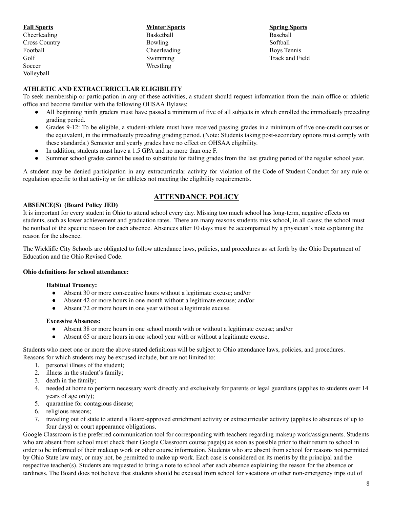| <b>Fall Sports</b>   | <b>Winter Sports</b> |
|----------------------|----------------------|
| Cheerleading         | Basketball           |
| <b>Cross Country</b> | Bowling              |
| Football             | Cheerleading         |
| Golf                 | Swimming             |
| Soccer               | Wrestling            |
| Volleyball           |                      |

#### **Spring Sports** Baseball Softball Boys Tennis Track and Field

## **ATHLETIC AND EXTRACURRICULAR ELIGIBILITY**

To seek membership or participation in any of these activities, a student should request information from the main office or athletic office and become familiar with the following OHSAA Bylaws:

- All beginning ninth graders must have passed a minimum of five of all subjects in which enrolled the immediately preceding grading period.
- Grades 9-12: To be eligible, a student-athlete must have received passing grades in a minimum of five one-credit courses or the equivalent, in the immediately preceding grading period. (Note: Students taking post-secondary options must comply with these standards.) Semester and yearly grades have no effect on OHSAA eligibility.
- In addition, students must have a 1.5 GPA and no more than one F.
- Summer school grades cannot be used to substitute for failing grades from the last grading period of the regular school year.

A student may be denied participation in any extracurricular activity for violation of the Code of Student Conduct for any rule or regulation specific to that activity or for athletes not meeting the eligibility requirements.

## **ATTENDANCE POLICY**

#### **ABSENCE(S) (Board Policy JED)**

It is important for every student in Ohio to attend school every day. Missing too much school has long-term, negative effects on students, such as lower achievement and graduation rates. There are many reasons students miss school, in all cases; the school must be notified of the specific reason for each absence. Absences after 10 days must be accompanied by a physician's note explaining the reason for the absence.

The Wickliffe City Schools are obligated to follow attendance laws, policies, and procedures as set forth by the Ohio Department of Education and the Ohio Revised Code.

#### **Ohio definitions for school attendance:**

#### **Habitual Truancy:**

- Absent 30 or more consecutive hours without a legitimate excuse; and/or
- Absent 42 or more hours in one month without a legitimate excuse; and/or
- Absent 72 or more hours in one year without a legitimate excuse.

#### **Excessive Absences:**

- Absent 38 or more hours in one school month with or without a legitimate excuse; and/or
- Absent 65 or more hours in one school year with or without a legitimate excuse.

Students who meet one or more the above stated definitions will be subject to Ohio attendance laws, policies, and procedures. Reasons for which students may be excused include, but are not limited to:

- 1. personal illness of the student;
- 2. illness in the student's family;
- 3. death in the family;
- 4. needed at home to perform necessary work directly and exclusively for parents or legal guardians (applies to students over 14 years of age only);
- 5. quarantine for contagious disease;
- 6. religious reasons;
- 7. traveling out of state to attend a Board-approved enrichment activity or extracurricular activity (applies to absences of up to four days) or court appearance obligations.

Google Classroom is the preferred communication tool for corresponding with teachers regarding makeup work/assignments. Students who are absent from school must check their Google Classroom course page(s) as soon as possible prior to their return to school in order to be informed of their makeup work or other course information. Students who are absent from school for reasons not permitted by Ohio State law may, or may not, be permitted to make up work. Each case is considered on its merits by the principal and the respective teacher(s). Students are requested to bring a note to school after each absence explaining the reason for the absence or tardiness. The Board does not believe that students should be excused from school for vacations or other non-emergency trips out of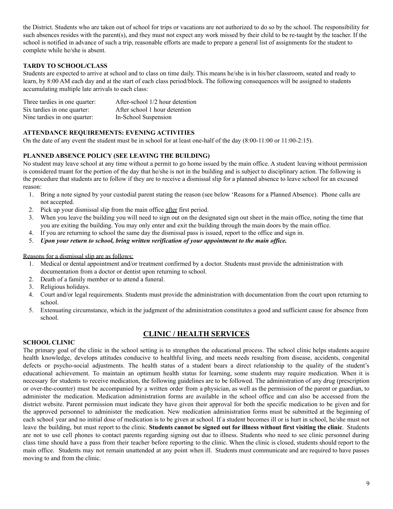the District. Students who are taken out of school for trips or vacations are not authorized to do so by the school. The responsibility for such absences resides with the parent(s), and they must not expect any work missed by their child to be re-taught by the teacher. If the school is notified in advance of such a trip, reasonable efforts are made to prepare a general list of assignments for the student to complete while he/she is absent.

## **TARDY TO SCHOOL/CLASS**

Students are expected to arrive at school and to class on time daily. This means he/she is in his/her classroom, seated and ready to learn, by 8:00 AM each day and at the start of each class period/block. The following consequences will be assigned to students accumulating multiple late arrivals to each class:

| Three tardies in one quarter: | After-school 1/2 hour detention |
|-------------------------------|---------------------------------|
| Six tardies in one quarter:   | After school 1 hour detention   |
| Nine tardies in one quarter:  | In-School Suspension            |

## **ATTENDANCE REQUIREMENTS: EVENING ACTIVITIES**

On the date of any event the student must be in school for at least one-half of the day (8:00-11:00 or 11:00-2:15).

## **PLANNED ABSENCE POLICY (SEE LEAVING THE BUILDING)**

No student may leave school at any time without a permit to go home issued by the main office. A student leaving without permission is considered truant for the portion of the day that he/she is not in the building and is subject to disciplinary action. The following is the procedure that students are to follow if they are to receive a dismissal slip for a planned absence to leave school for an excused reason:

- 1. Bring a note signed by your custodial parent stating the reason (see below 'Reasons for a Planned Absence). Phone calls are not accepted.
- 2. Pick up your dismissal slip from the main office after first period.
- 3. When you leave the building you will need to sign out on the designated sign out sheet in the main office, noting the time that you are exiting the building. You may only enter and exit the building through the main doors by the main office.
- 4. If you are returning to school the same day the dismissal pass is issued, report to the office and sign in.
- 5. *Upon your return to school, bring written verification of your appointment to the main of ice.*

Reasons for a dismissal slip are as follows:

- 1. Medical or dental appointment and/or treatment confirmed by a doctor. Students must provide the administration with documentation from a doctor or dentist upon returning to school.
- 2. Death of a family member or to attend a funeral.
- 3. Religious holidays.
- 4. Court and/or legal requirements. Students must provide the administration with documentation from the court upon returning to school.
- 5. Extenuating circumstance, which in the judgment of the administration constitutes a good and sufficient cause for absence from school.

## **CLINIC / HEALTH SERVICES**

#### **SCHOOL CLINIC**

The primary goal of the clinic in the school setting is to strengthen the educational process. The school clinic helps students acquire health knowledge, develops attitudes conducive to healthful living, and meets needs resulting from disease, accidents, congenital defects or psycho-social adjustments. The health status of a student bears a direct relationship to the quality of the student's educational achievement. To maintain an optimum health status for learning, some students may require medication. When it is necessary for students to receive medication, the following guidelines are to be followed. The administration of any drug (prescription or over-the-counter) must be accompanied by a written order from a physician, as well as the permission of the parent or guardian, to administer the medication. Medication administration forms are available in the school office and can also be accessed from the district website. Parent permission must indicate they have given their approval for both the specific medication to be given and for the approved personnel to administer the medication. New medication administration forms must be submitted at the beginning of each school year and no initial dose of medication is to be given at school. If a student becomes ill or is hurt in school, he/she must not leave the building, but must report to the clinic. **Students cannot be signed out for illness without first visiting the clinic**. Students are not to use cell phones to contact parents regarding signing out due to illness. Students who need to see clinic personnel during class time should have a pass from their teacher before reporting to the clinic. When the clinic is closed, students should report to the main office. Students may not remain unattended at any point when ill. Students must communicate and are required to have passes moving to and from the clinic.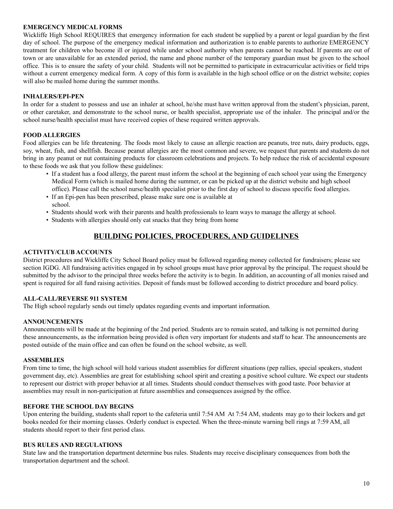#### **EMERGENCY MEDICAL FORMS**

Wickliffe High School REQUIRES that emergency information for each student be supplied by a parent or legal guardian by the first day of school. The purpose of the emergency medical information and authorization is to enable parents to authorize EMERGENCY treatment for children who become ill or injured while under school authority when parents cannot be reached. If parents are out of town or are unavailable for an extended period, the name and phone number of the temporary guardian must be given to the school office. This is to ensure the safety of your child. Students will not be permitted to participate in extracurricular activities or field trips without a current emergency medical form. A copy of this form is available in the high school office or on the district website; copies will also be mailed home during the summer months.

#### **INHALERS/EPI-PEN**

In order for a student to possess and use an inhaler at school, he/she must have written approval from the student's physician, parent, or other caretaker, and demonstrate to the school nurse, or health specialist, appropriate use of the inhaler. The principal and/or the school nurse/health specialist must have received copies of these required written approvals.

#### **FOOD ALLERGIES**

Food allergies can be life threatening. The foods most likely to cause an allergic reaction are peanuts, tree nuts, dairy products, eggs, soy, wheat, fish, and shellfish. Because peanut allergies are the most common and severe, we request that parents and students do not bring in any peanut or nut containing products for classroom celebrations and projects. To help reduce the risk of accidental exposure to these foods we ask that you follow these guidelines:

- If a student has a food allergy, the parent must inform the school at the beginning of each school year using the Emergency Medical Form (which is mailed home during the summer, or can be picked up at the district website and high school office). Please call the school nurse/health specialist prior to the first day of school to discuss specific food allergies.
- If an Epi-pen has been prescribed, please make sure one is available at school.
- Students should work with their parents and health professionals to learn ways to manage the allergy at school.
- Students with allergies should only eat snacks that they bring from home

## **BUILDING POLICIES, PROCEDURES, AND GUIDELINES**

#### **ACTIVITY/CLUB ACCOUNTS**

District procedures and Wickliffe City School Board policy must be followed regarding money collected for fundraisers; please see section IGDG. All fundraising activities engaged in by school groups must have prior approval by the principal. The request should be submitted by the advisor to the principal three weeks before the activity is to begin. In addition, an accounting of all monies raised and spent is required for all fund raising activities. Deposit of funds must be followed according to district procedure and board policy.

#### **ALL-CALL/REVERSE 911 SYSTEM**

The High school regularly sends out timely updates regarding events and important information.

#### **ANNOUNCEMENTS**

Announcements will be made at the beginning of the 2nd period. Students are to remain seated, and talking is not permitted during these announcements, as the information being provided is often very important for students and staff to hear. The announcements are posted outside of the main office and can often be found on the school website, as well.

#### **ASSEMBLIES**

From time to time, the high school will hold various student assemblies for different situations (pep rallies, special speakers, student government day, etc). Assemblies are great for establishing school spirit and creating a positive school culture. We expect our students to represent our district with proper behavior at all times. Students should conduct themselves with good taste. Poor behavior at assemblies may result in non-participation at future assemblies and consequences assigned by the office.

#### **BEFORE THE SCHOOL DAY BEGINS**

Upon entering the building, students shall report to the cafeteria until 7:54 AM At 7:54 AM, students may go to their lockers and get books needed for their morning classes. Orderly conduct is expected. When the three-minute warning bell rings at 7:59 AM, all students should report to their first period class.

#### **BUS RULES AND REGULATIONS**

State law and the transportation department determine bus rules. Students may receive disciplinary consequences from both the transportation department and the school.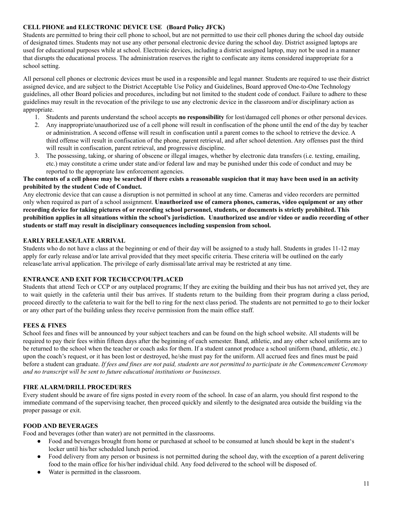#### **CELL PHONE and ELECTRONIC DEVICE USE (Board Policy JFCK)**

Students are permitted to bring their cell phone to school, but are not permitted to use their cell phones during the school day outside of designated times. Students may not use any other personal electronic device during the school day. District assigned laptops are used for educational purposes while at school. Electronic devices, including a district assigned laptop, may not be used in a manner that disrupts the educational process. The administration reserves the right to confiscate any items considered inappropriate for a school setting.

All personal cell phones or electronic devices must be used in a responsible and legal manner. Students are required to use their district assigned device, and are subject to the District Acceptable Use Policy and Guidelines, Board approved One-to-One Technology guidelines, all other Board policies and procedures, including but not limited to the student code of conduct. Failure to adhere to these guidelines may result in the revocation of the privilege to use any electronic device in the classroom and/or disciplinary action as appropriate.

- 1. Students and parents understand the school accepts **no responsibility** for lost/damaged cell phones or other personal devices.
- 2. Any inappropriate/unauthorized use of a cell phone will result in confiscation of the phone until the end of the day by teacher or administration. A second offense will result in confiscation until a parent comes to the school to retrieve the device. A third offense will result in confiscation of the phone, parent retrieval, and after school detention. Any offenses past the third will result in confiscation, parent retrieval, and progressive discipline.
- 3. The possessing, taking, or sharing of obscene or illegal images, whether by electronic data transfers (i.e. texting, emailing, etc.) may constitute a crime under state and/or federal law and may be punished under this code of conduct and may be reported to the appropriate law enforcement agencies.

#### The contents of a cell phone may be searched if there exists a reasonable suspicion that it may have been used in an activity **prohibited by the student Code of Conduct.**

Any electronic device that can cause a disruption is not permitted in school at any time. Cameras and video recorders are permitted only when required as part of a school assignment. **Unauthorized use of camera phones, cameras, video equipment or any other** recording device for taking pictures of or recording school personnel, students, or documents is strictly prohibited. This prohibition applies in all situations within the school's jurisdiction. Unauthorized use and/or video or audio recording of other **students or staff may result in disciplinary consequences including suspension from school.**

#### **EARLY RELEASE/LATE ARRIVAL**

Students who do not have a class at the beginning or end of their day will be assigned to a study hall. Students in grades 11-12 may apply for early release and/or late arrival provided that they meet specific criteria. These criteria will be outlined on the early release/late arrival application. The privilege of early dismissal/late arrival may be restricted at any time.

### **ENTRANCE AND EXIT FOR TECH/CCP/OUTPLACED**

Students that attend Tech or CCP or any outplaced programs; If they are exiting the building and their bus has not arrived yet, they are to wait quietly in the cafeteria until their bus arrives. If students return to the building from their program during a class period, proceed directly to the cafeteria to wait for the bell to ring for the next class period. The students are not permitted to go to their locker or any other part of the building unless they receive permission from the main office staff.

#### **FEES & FINES**

School fees and fines will be announced by your subject teachers and can be found on the high school website. All students will be required to pay their fees within fifteen days after the beginning of each semester. Band, athletic, and any other school uniforms are to be returned to the school when the teacher or coach asks for them. If a student cannot produce a school uniform (band, athletic, etc.) upon the coach's request, or it has been lost or destroyed, he/she must pay for the uniform. All accrued fees and fines must be paid before a student can graduate. If fees and fines are not paid, students are not permitted to participate in the Commencement Ceremony *and no transcript will be sent to future educational institutions or businesses.*

## **FIRE ALARM/DRILL PROCEDURES**

Every student should be aware of fire signs posted in every room of the school. In case of an alarm, you should first respond to the immediate command of the supervising teacher, then proceed quickly and silently to the designated area outside the building via the proper passage or exit.

#### **FOOD AND BEVERAGES**

Food and beverages (other than water) are not permitted in the classrooms.

- Food and beverages brought from home or purchased at school to be consumed at lunch should be kept in the student's locker until his/her scheduled lunch period.
- Food delivery from any person or business is not permitted during the school day, with the exception of a parent delivering food to the main office for his/her individual child. Any food delivered to the school will be disposed of.
- Water is permitted in the classroom.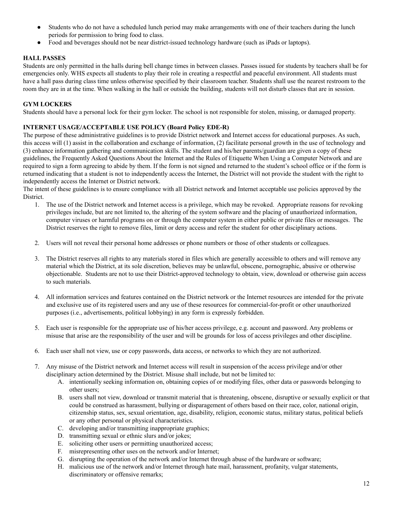- Students who do not have a scheduled lunch period may make arrangements with one of their teachers during the lunch periods for permission to bring food to class.
- Food and beverages should not be near district-issued technology hardware (such as iPads or laptops).

## **HALL PASSES**

Students are only permitted in the halls during bell change times in between classes. Passes issued for students by teachers shall be for emergencies only. WHS expects all students to play their role in creating a respectful and peaceful environment. All students must have a hall pass during class time unless otherwise specified by their classroom teacher. Students shall use the nearest restroom to the room they are in at the time. When walking in the hall or outside the building, students will not disturb classes that are in session.

## **GYM LOCKERS**

Students should have a personal lock for their gym locker. The school is not responsible for stolen, missing, or damaged property.

## **INTERNET USAGE/ACCEPTABLE USE POLICY (Board Policy EDE-R)**

The purpose of these administrative guidelines is to provide District network and Internet access for educational purposes. As such, this access will (1) assist in the collaboration and exchange of information, (2) facilitate personal growth in the use of technology and (3) enhance information gathering and communication skills. The student and his/her parents/guardian are given a copy of these guidelines, the Frequently Asked Questions About the Internet and the Rules of Etiquette When Using a Computer Network and are required to sign a form agreeing to abide by them. If the form is not signed and returned to the student's school office or if the form is returned indicating that a student is not to independently access the Internet, the District will not provide the student with the right to independently access the Internet or District network.

The intent of these guidelines is to ensure compliance with all District network and Internet acceptable use policies approved by the District.

- 1. The use of the District network and Internet access is a privilege, which may be revoked. Appropriate reasons for revoking privileges include, but are not limited to, the altering of the system software and the placing of unauthorized information, computer viruses or harmful programs on or through the computer system in either public or private files or messages. The District reserves the right to remove files, limit or deny access and refer the student for other disciplinary actions.
- 2. Users will not reveal their personal home addresses or phone numbers or those of other students or colleagues.
- 3. The District reserves all rights to any materials stored in files which are generally accessible to others and will remove any material which the District, at its sole discretion, believes may be unlawful, obscene, pornographic, abusive or otherwise objectionable. Students are not to use their District-approved technology to obtain, view, download or otherwise gain access to such materials.
- 4. All information services and features contained on the District network or the Internet resources are intended for the private and exclusive use of its registered users and any use of these resources for commercial-for-profit or other unauthorized purposes (i.e., advertisements, political lobbying) in any form is expressly forbidden.
- 5. Each user is responsible for the appropriate use of his/her access privilege, e.g. account and password. Any problems or misuse that arise are the responsibility of the user and will be grounds for loss of access privileges and other discipline.
- 6. Each user shall not view, use or copy passwords, data access, or networks to which they are not authorized.
- 7. Any misuse of the District network and Internet access will result in suspension of the access privilege and/or other disciplinary action determined by the District. Misuse shall include, but not be limited to:
	- A. intentionally seeking information on, obtaining copies of or modifying files, other data or passwords belonging to other users;
	- B. users shall not view, download or transmit material that is threatening, obscene, disruptive or sexually explicit or that could be construed as harassment, bullying or disparagement of others based on their race, color, national origin, citizenship status, sex, sexual orientation, age, disability, religion, economic status, military status, political beliefs or any other personal or physical characteristics.
	- C. developing and/or transmitting inappropriate graphics;
	- D. transmitting sexual or ethnic slurs and/or jokes;
	- E. soliciting other users or permitting unauthorized access;
	- F. misrepresenting other uses on the network and/or Internet;
	- G. disrupting the operation of the network and/or Internet through abuse of the hardware or software;
	- H. malicious use of the network and/or Internet through hate mail, harassment, profanity, vulgar statements, discriminatory or offensive remarks;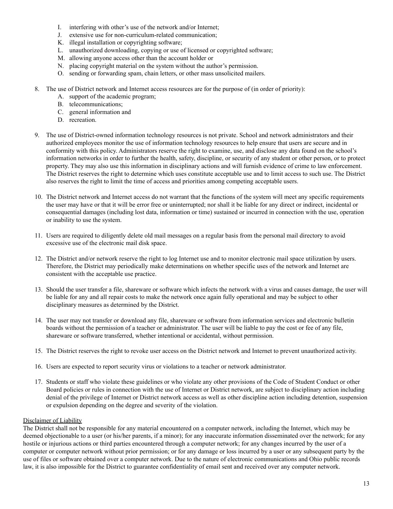- I. interfering with other's use of the network and/or Internet;
- J. extensive use for non-curriculum-related communication;
- K. illegal installation or copyrighting software;
- L. unauthorized downloading, copying or use of licensed or copyrighted software;
- M. allowing anyone access other than the account holder or
- N. placing copyright material on the system without the author's permission.
- O. sending or forwarding spam, chain letters, or other mass unsolicited mailers.
- 8. The use of District network and Internet access resources are for the purpose of (in order of priority):
	- A. support of the academic program;
	- B. telecommunications;
	- C. general information and
	- D. recreation.
- 9. The use of District-owned information technology resources is not private. School and network administrators and their authorized employees monitor the use of information technology resources to help ensure that users are secure and in conformity with this policy. Administrators reserve the right to examine, use, and disclose any data found on the school's information networks in order to further the health, safety, discipline, or security of any student or other person, or to protect property. They may also use this information in disciplinary actions and will furnish evidence of crime to law enforcement. The District reserves the right to determine which uses constitute acceptable use and to limit access to such use. The District also reserves the right to limit the time of access and priorities among competing acceptable users.
- 10. The District network and Internet access do not warrant that the functions of the system will meet any specific requirements the user may have or that it will be error free or uninterrupted; nor shall it be liable for any direct or indirect, incidental or consequential damages (including lost data, information or time) sustained or incurred in connection with the use, operation or inability to use the system.
- 11. Users are required to diligently delete old mail messages on a regular basis from the personal mail directory to avoid excessive use of the electronic mail disk space.
- 12. The District and/or network reserve the right to log Internet use and to monitor electronic mail space utilization by users. Therefore, the District may periodically make determinations on whether specific uses of the network and Internet are consistent with the acceptable use practice.
- 13. Should the user transfer a file, shareware or software which infects the network with a virus and causes damage, the user will be liable for any and all repair costs to make the network once again fully operational and may be subject to other disciplinary measures as determined by the District.
- 14. The user may not transfer or download any file, shareware or software from information services and electronic bulletin boards without the permission of a teacher or administrator. The user will be liable to pay the cost or fee of any file, shareware or software transferred, whether intentional or accidental, without permission.
- 15. The District reserves the right to revoke user access on the District network and Internet to prevent unauthorized activity.
- 16. Users are expected to report security virus or violations to a teacher or network administrator.
- 17. Students or staff who violate these guidelines or who violate any other provisions of the Code of Student Conduct or other Board policies or rules in connection with the use of Internet or District network, are subject to disciplinary action including denial of the privilege of Internet or District network access as well as other discipline action including detention, suspension or expulsion depending on the degree and severity of the violation.

#### Disclaimer of Liability

The District shall not be responsible for any material encountered on a computer network, including the Internet, which may be deemed objectionable to a user (or his/her parents, if a minor); for any inaccurate information disseminated over the network; for any hostile or injurious actions or third parties encountered through a computer network; for any changes incurred by the user of a computer or computer network without prior permission; or for any damage or loss incurred by a user or any subsequent party by the use of files or software obtained over a computer network. Due to the nature of electronic communications and Ohio public records law, it is also impossible for the District to guarantee confidentiality of email sent and received over any computer network.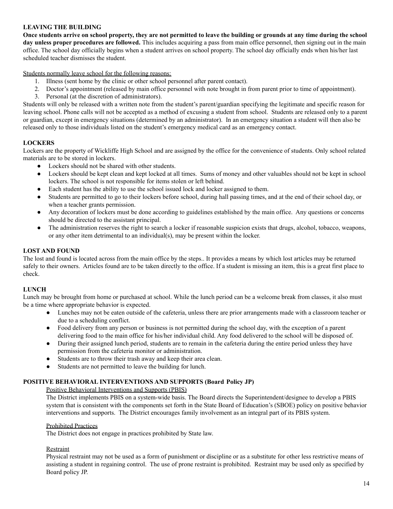#### **LEAVING THE BUILDING**

Once students arrive on school property, they are not permitted to leave the building or grounds at any time during the school **day unless proper procedures are followed.** This includes acquiring a pass from main office personnel, then signing out in the main office. The school day officially begins when a student arrives on school property. The school day officially ends when his/her last scheduled teacher dismisses the student.

Students normally leave school for the following reasons:

- 1. Illness (sent home by the clinic or other school personnel after parent contact).
- 2. Doctor's appointment (released by main office personnel with note brought in from parent prior to time of appointment).
- 3. Personal (at the discretion of administrators).

Students will only be released with a written note from the student's parent/guardian specifying the legitimate and specific reason for leaving school. Phone calls will not be accepted as a method of excusing a student from school. Students are released only to a parent or guardian, except in emergency situations (determined by an administrator). In an emergency situation a student will then also be released only to those individuals listed on the student's emergency medical card as an emergency contact.

#### **LOCKERS**

Lockers are the property of Wickliffe High School and are assigned by the office for the convenience of students. Only school related materials are to be stored in lockers.

- Lockers should not be shared with other students.
- Lockers should be kept clean and kept locked at all times. Sums of money and other valuables should not be kept in school lockers. The school is not responsible for items stolen or left behind.
- Each student has the ability to use the school issued lock and locker assigned to them.
- Students are permitted to go to their lockers before school, during hall passing times, and at the end of their school day, or when a teacher grants permission.
- Any decoration of lockers must be done according to guidelines established by the main office. Any questions or concerns should be directed to the assistant principal.
- The administration reserves the right to search a locker if reasonable suspicion exists that drugs, alcohol, tobacco, weapons, or any other item detrimental to an individual(s), may be present within the locker.

#### **LOST AND FOUND**

The lost and found is located across from the main office by the steps.. It provides a means by which lost articles may be returned safely to their owners. Articles found are to be taken directly to the office. If a student is missing an item, this is a great first place to check.

#### **LUNCH**

Lunch may be brought from home or purchased at school. While the lunch period can be a welcome break from classes, it also must be a time where appropriate behavior is expected.

- Lunches may not be eaten outside of the cafeteria, unless there are prior arrangements made with a classroom teacher or due to a scheduling conflict.
- Food delivery from any person or business is not permitted during the school day, with the exception of a parent delivering food to the main office for his/her individual child. Any food delivered to the school will be disposed of.
- During their assigned lunch period, students are to remain in the cafeteria during the entire period unless they have permission from the cafeteria monitor or administration.
- Students are to throw their trash away and keep their area clean.
- Students are not permitted to leave the building for lunch.

## **POSITIVE BEHAVIORAL INTERVENTIONS AND SUPPORTS (Board Policy JP)**

Positive Behavioral Interventions and Supports (PBIS)

The District implements PBIS on a system-wide basis. The Board directs the Superintendent/designee to develop a PBIS system that is consistent with the components set forth in the State Board of Education's (SBOE) policy on positive behavior interventions and supports. The District encourages family involvement as an integral part of its PBIS system.

#### Prohibited Practices

The District does not engage in practices prohibited by State law.

#### Restraint

Physical restraint may not be used as a form of punishment or discipline or as a substitute for other less restrictive means of assisting a student in regaining control. The use of prone restraint is prohibited. Restraint may be used only as specified by Board policy JP.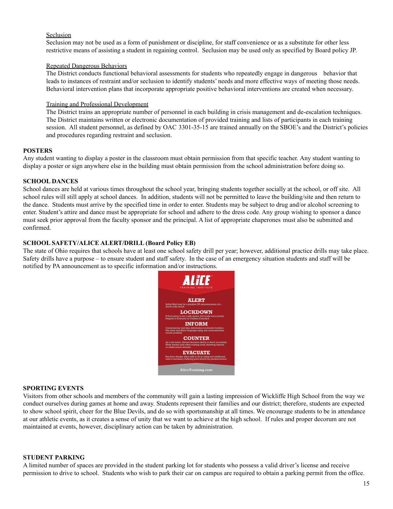#### **Seclusion**

Seclusion may not be used as a form of punishment or discipline, for staff convenience or as a substitute for other less restrictive means of assisting a student in regaining control. Seclusion may be used only as specified by Board policy JP.

#### Repeated Dangerous Behaviors

The District conducts functional behavioral assessments for students who repeatedly engage in dangerous behavior that leads to instances of restraint and/or seclusion to identify students' needs and more effective ways of meeting those needs. Behavioral intervention plans that incorporate appropriate positive behavioral interventions are created when necessary.

#### Training and Professional Development

The District trains an appropriate number of personnel in each building in crisis management and de-escalation techniques. The District maintains written or electronic documentation of provided training and lists of participants in each training session. All student personnel, as defined by OAC 3301-35-15 are trained annually on the SBOE's and the District's policies and procedures regarding restraint and seclusion.

#### **POSTERS**

Any student wanting to display a poster in the classroom must obtain permission from that specific teacher. Any student wanting to display a poster or sign anywhere else in the building must obtain permission from the school administration before doing so.

#### **SCHOOL DANCES**

School dances are held at various times throughout the school year, bringing students together socially at the school, or off site. All school rules will still apply at school dances. In addition, students will not be permitted to leave the building/site and then return to the dance. Students must arrive by the specified time in order to enter. Students may be subject to drug and/or alcohol screening to enter. Student's attire and dance must be appropriate for school and adhere to the dress code. Any group wishing to sponsor a dance must seek prior approval from the faculty sponsor and the principal. A list of appropriate chaperones must also be submitted and confirmed.

#### **SCHOOL SAFETY/ALICE ALERT/DRILL (Board Policy EB)**

The state of Ohio requires that schools have at least one school safety drill per year; however, additional practice drills may take place. Safety drills have a purpose – to ensure student and staff safety. In the case of an emergency situation students and staff will be notified by PA announcement as to specific information and/or instructions.



#### **SPORTING EVENTS**

Visitors from other schools and members of the community will gain a lasting impression of Wickliffe High School from the way we conduct ourselves during games at home and away. Students represent their families and our district; therefore, students are expected to show school spirit, cheer for the Blue Devils, and do so with sportsmanship at all times. We encourage students to be in attendance at our athletic events, as it creates a sense of unity that we want to achieve at the high school. If rules and proper decorum are not maintained at events, however, disciplinary action can be taken by administration.

#### **STUDENT PARKING**

A limited number of spaces are provided in the student parking lot for students who possess a valid driver's license and receive permission to drive to school. Students who wish to park their car on campus are required to obtain a parking permit from the office.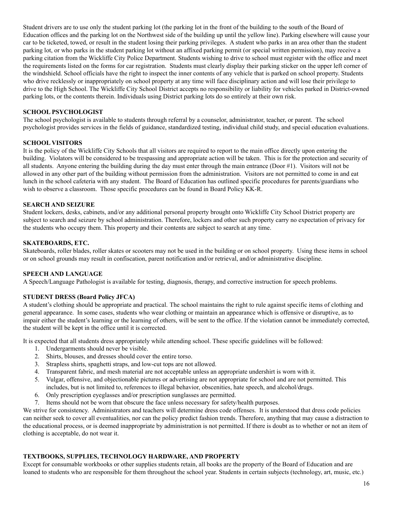Student drivers are to use only the student parking lot (the parking lot in the front of the building to the south of the Board of Education offices and the parking lot on the Northwest side of the building up until the yellow line). Parking elsewhere will cause your car to be ticketed, towed, or result in the student losing their parking privileges. A student who parks in an area other than the student parking lot, or who parks in the student parking lot without an affixed parking permit (or special written permission), may receive a parking citation from the Wickliffe City Police Department. Students wishing to drive to school must register with the office and meet the requirements listed on the forms for car registration. Students must clearly display their parking sticker on the upper left corner of the windshield. School officials have the right to inspect the inner contents of any vehicle that is parked on school property. Students who drive recklessly or inappropriately on school property at any time will face disciplinary action and will lose their privilege to drive to the High School. The Wickliffe City School District accepts no responsibility or liability for vehicles parked in District-owned parking lots, or the contents therein. Individuals using District parking lots do so entirely at their own risk.

#### **SCHOOL PSYCHOLOGIST**

The school psychologist is available to students through referral by a counselor, administrator, teacher, or parent. The school psychologist provides services in the fields of guidance, standardized testing, individual child study, and special education evaluations.

#### **SCHOOL VISITORS**

It is the policy of the Wickliffe City Schools that all visitors are required to report to the main office directly upon entering the building. Violators will be considered to be trespassing and appropriate action will be taken. This is for the protection and security of all students. Anyone entering the building during the day must enter through the main entrance (Door #1). Visitors will not be allowed in any other part of the building without permission from the administration. Visitors are not permitted to come in and eat lunch in the school cafeteria with any student. The Board of Education has outlined specific procedures for parents/guardians who wish to observe a classroom. Those specific procedures can be found in Board Policy KK-R.

#### **SEARCH AND SEIZURE**

Student lockers, desks, cabinets, and/or any additional personal property brought onto Wickliffe City School District property are subject to search and seizure by school administration. Therefore, lockers and other such property carry no expectation of privacy for the students who occupy them. This property and their contents are subject to search at any time.

#### **SKATEBOARDS, ETC.**

Skateboards, roller blades, roller skates or scooters may not be used in the building or on school property. Using these items in school or on school grounds may result in confiscation, parent notification and/or retrieval, and/or administrative discipline.

## **SPEECH AND LANGUAGE**

A Speech/Language Pathologist is available for testing, diagnosis, therapy, and corrective instruction for speech problems.

## **STUDENT DRESS (Board Policy JFCA)**

A student's clothing should be appropriate and practical. The school maintains the right to rule against specific items of clothing and general appearance. In some cases, students who wear clothing or maintain an appearance which is offensive or disruptive, as to impair either the student's learning or the learning of others, will be sent to the office. If the violation cannot be immediately corrected, the student will be kept in the office until it is corrected.

It is expected that all students dress appropriately while attending school. These specific guidelines will be followed:

- 1. Undergarments should never be visible.
- 2. Shirts, blouses, and dresses should cover the entire torso.
- 3. Strapless shirts, spaghetti straps, and low-cut tops are not allowed.
- 4. Transparent fabric, and mesh material are not acceptable unless an appropriate undershirt is worn with it.
- 5. Vulgar, offensive, and objectionable pictures or advertising are not appropriate for school and are not permitted. This includes, but is not limited to, references to illegal behavior, obscenities, hate speech, and alcohol/drugs.
- 6. Only prescription eyeglasses and/or prescription sunglasses are permitted.
- 7. Items should not be worn that obscure the face unless necessary for safety/health purposes.

We strive for consistency. Administrators and teachers will determine dress code offenses. It is understood that dress code policies can neither seek to cover all eventualities, nor can the policy predict fashion trends. Therefore, anything that may cause a distraction to the educational process, or is deemed inappropriate by administration is not permitted. If there is doubt as to whether or not an item of clothing is acceptable, do not wear it.

#### **TEXTBOOKS, SUPPLIES, TECHNOLOGY HARDWARE, AND PROPERTY**

Except for consumable workbooks or other supplies students retain, all books are the property of the Board of Education and are loaned to students who are responsible for them throughout the school year. Students in certain subjects (technology, art, music, etc.)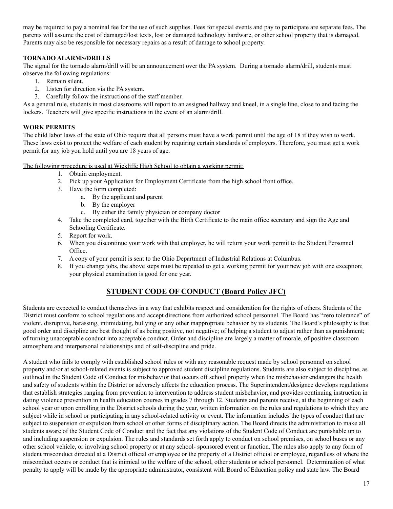may be required to pay a nominal fee for the use of such supplies. Fees for special events and pay to participate are separate fees. The parents will assume the cost of damaged/lost texts, lost or damaged technology hardware, or other school property that is damaged. Parents may also be responsible for necessary repairs as a result of damage to school property.

## **TORNADO ALARMS/DRILLS**

The signal for the tornado alarm/drill will be an announcement over the PA system. During a tornado alarm/drill, students must observe the following regulations:

- 1. Remain silent.
- 2. Listen for direction via the PA system.
- 3. Carefully follow the instructions of the staff member.

As a general rule, students in most classrooms will report to an assigned hallway and kneel, in a single line, close to and facing the lockers. Teachers will give specific instructions in the event of an alarm/drill.

## **WORK PERMITS**

The child labor laws of the state of Ohio require that all persons must have a work permit until the age of 18 if they wish to work. These laws exist to protect the welfare of each student by requiring certain standards of employers. Therefore, you must get a work permit for any job you hold until you are 18 years of age.

The following procedure is used at Wickliffe High School to obtain a working permit:

- 1. Obtain employment.
- 2. Pick up your Application for Employment Certificate from the high school front office.
- 3. Have the form completed:
	- a. By the applicant and parent
	- b. By the employer
	- c. By either the family physician or company doctor
- 4. Take the completed card, together with the Birth Certificate to the main office secretary and sign the Age and Schooling Certificate.
- 5. Report for work.
- 6. When you discontinue your work with that employer, he will return your work permit to the Student Personnel Office.
- 7. A copy of your permit is sent to the Ohio Department of Industrial Relations at Columbus.
- 8. If you change jobs, the above steps must be repeated to get a working permit for your new job with one exception; your physical examination is good for one year.

## **STUDENT CODE OF CONDUCT (Board Policy JFC)**

Students are expected to conduct themselves in a way that exhibits respect and consideration for the rights of others. Students of the District must conform to school regulations and accept directions from authorized school personnel. The Board has "zero tolerance" of violent, disruptive, harassing, intimidating, bullying or any other inappropriate behavior by its students. The Board's philosophy is that good order and discipline are best thought of as being positive, not negative; of helping a student to adjust rather than as punishment; of turning unacceptable conduct into acceptable conduct. Order and discipline are largely a matter of morale, of positive classroom atmosphere and interpersonal relationships and of self-discipline and pride.

A student who fails to comply with established school rules or with any reasonable request made by school personnel on school property and/or at school-related events is subject to approved student discipline regulations. Students are also subject to discipline, as outlined in the Student Code of Conduct for misbehavior that occurs off school property when the misbehavior endangers the health and safety of students within the District or adversely affects the education process. The Superintendent/designee develops regulations that establish strategies ranging from prevention to intervention to address student misbehavior, and provides continuing instruction in dating violence prevention in health education courses in grades 7 through 12. Students and parents receive, at the beginning of each school year or upon enrolling in the District schools during the year, written information on the rules and regulations to which they are subject while in school or participating in any school-related activity or event. The information includes the types of conduct that are subject to suspension or expulsion from school or other forms of disciplinary action. The Board directs the administration to make all students aware of the Student Code of Conduct and the fact that any violations of the Student Code of Conduct are punishable up to and including suspension or expulsion. The rules and standards set forth apply to conduct on school premises, on school buses or any other school vehicle, or involving school property or at any school- sponsored event or function. The rules also apply to any form of student misconduct directed at a District official or employee or the property of a District official or employee, regardless of where the misconduct occurs or conduct that is inimical to the welfare of the school, other students or school personnel. Determination of what penalty to apply will be made by the appropriate administrator, consistent with Board of Education policy and state law. The Board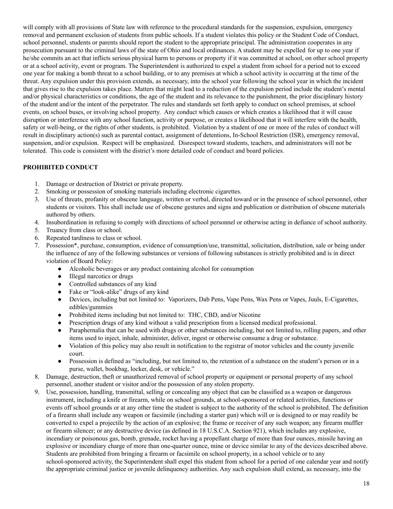will comply with all provisions of State law with reference to the procedural standards for the suspension, expulsion, emergency removal and permanent exclusion of students from public schools. If a student violates this policy or the Student Code of Conduct, school personnel, students or parents should report the student to the appropriate principal. The administration cooperates in any prosecution pursuant to the criminal laws of the state of Ohio and local ordinances. A student may be expelled for up to one year if he/she commits an act that inflicts serious physical harm to persons or property if it was committed at school, on other school property or at a school activity, event or program. The Superintendent is authorized to expel a student from school for a period not to exceed one year for making a bomb threat to a school building, or to any premises at which a school activity is occurring at the time of the threat. Any expulsion under this provision extends, as necessary, into the school year following the school year in which the incident that gives rise to the expulsion takes place. Matters that might lead to a reduction of the expulsion period include the student's mental and/or physical characteristics or conditions, the age of the student and its relevance to the punishment, the prior disciplinary history of the student and/or the intent of the perpetrator. The rules and standards set forth apply to conduct on school premises, at school events, on school buses, or involving school property. Any conduct which causes or which creates a likelihood that it will cause disruption or interference with any school function, activity or purpose, or creates a likelihood that it will interfere with the health, safety or well-being, or the rights of other students, is prohibited. Violation by a student of one or more of the rules of conduct will result in disciplinary action(s) such as parental contact, assignment of detentions, In-School Restriction (ISR), emergency removal, suspension, and/or expulsion. Respect will be emphasized. Disrespect toward students, teachers, and administrators will not be tolerated. This code is consistent with the district's more detailed code of conduct and board policies.

## **PROHIBITED CONDUCT**

- 1. Damage or destruction of District or private property.
- 2. Smoking or possession of smoking materials including electronic cigarettes.
- 3. Use of threats, profanity or obscene language, written or verbal, directed toward or in the presence of school personnel, other students or visitors. This shall include use of obscene gestures and signs and publication or distribution of obscene materials authored by others.
- 4. Insubordination in refusing to comply with directions of school personnel or otherwise acting in defiance of school authority.
- 5. Truancy from class or school.
- 6. Repeated tardiness to class or school.
- 7. Possession\*, purchase, consumption, evidence of consumption/use, transmittal, solicitation, distribution, sale or being under the influence of any of the following substances or versions of following substances is strictly prohibited and is in direct violation of Board Policy:
	- Alcoholic beverages or any product containing alcohol for consumption
	- Illegal narcotics or drugs
	- Controlled substances of any kind
	- Fake or "look-alike" drugs of any kind
	- Devices, including but not limited to: Vaporizers, Dab Pens, Vape Pens, Wax Pens or Vapes, Juuls, E-Cigarettes, edibles/gummies
	- Prohibited items including but not limited to: THC, CBD, and/or Nicotine
	- Prescription drugs of any kind without a valid prescription from a licensed medical professional.
	- Paraphernalia that can be used with drugs or other substances including, but not limited to, rolling papers, and other items used to inject, inhale, administer, deliver, ingest or otherwise consume a drug or substance.
	- Violation of this policy may also result in notification to the registrar of motor vehicles and the county juvenile court.
	- Possession is defined as "including, but not limited to, the retention of a substance on the student's person or in a purse, wallet, bookbag, locker, desk, or vehicle."
- 8. Damage, destruction, theft or unauthorized removal of school property or equipment or personal property of any school personnel, another student or visitor and/or the possession of any stolen property.
- 9. Use, possession, handling, transmittal, selling or concealing any object that can be classified as a weapon or dangerous instrument, including a knife or firearm, while on school grounds, at school-sponsored or related activities, functions or events off school grounds or at any other time the student is subject to the authority of the school is prohibited. The definition of a firearm shall include any weapon or facsimile (including a starter gun) which will or is designed to or may readily be converted to expel a projectile by the action of an explosive; the frame or receiver of any such weapon; any firearm muffler or firearm silencer; or any destructive device (as defined in 18 U.S.C.A. Section 921), which includes any explosive, incendiary or poisonous gas, bomb, grenade, rocket having a propellant charge of more than four ounces, missile having an explosive or incendiary charge of more than one-quarter ounce, mine or device similar to any of the devices described above. Students are prohibited from bringing a firearm or facsimile on school property, in a school vehicle or to any school-sponsored activity, the Superintendent shall expel this student from school for a period of one calendar year and notify the appropriate criminal justice or juvenile delinquency authorities. Any such expulsion shall extend, as necessary, into the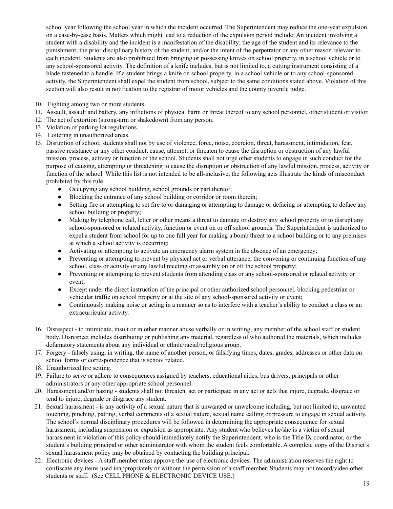school year following the school year in which the incident occurred. The Superintendent may reduce the one-year expulsion on a case-by-case basis. Matters which might lead to a reduction of the expulsion period include: An incident involving a student with a disability and the incident is a manifestation of the disability; the age of the student and its relevance to the punishment; the prior disciplinary history of the student; and/or the intent of the perpetrator or any other reason relevant to each incident. Students are also prohibited from bringing or possessing knives on school property, in a school vehicle or to any school-sponsored activity. The definition of a knife includes, but is not limited to, a cutting instrument consisting of a blade fastened to a handle. If a student brings a knife on school property, in a school vehicle or to any school-sponsored activity, the Superintendent shall expel the student from school, subject to the same conditions stated above. Violation of this section will also result in notification to the registrar of motor vehicles and the county juvenile judge.

- 10. Fighting among two or more students.
- 11. Assault, assault and battery, any inflictions of physical harm or threat thereof to any school personnel, other student or visitor.
- 12. The act of extortion (strong-arm or shakedown) from any person.
- 13. Violation of parking lot regulations.
- 14. Loitering in unauthorized areas.
- 15. Disruption of school; students shall not by use of violence, force, noise, coercion, threat, harassment, intimidation, fear, passive resistance or any other conduct, cause, attempt, or threaten to cause the disruption or obstruction of any lawful mission, process, activity or function of the school. Students shall not urge other students to engage in such conduct for the purpose of causing, attempting or threatening to cause the disruption or obstruction of any lawful mission, process, activity or function of the school. While this list is not intended to be all-inclusive, the following acts illustrate the kinds of misconduct prohibited by this rule:
	- Occupying any school building, school grounds or part thereof;
	- Blocking the entrance of any school building or corridor or room therein;
	- Setting fire or attempting to set fire to or damaging or attempting to damage or defacing or attempting to deface any school building or property;
	- Making by telephone call, letter or other means a threat to damage or destroy any school property or to disrupt any school-sponsored or related activity, function or event on or off school grounds. The Superintendent is authorized to expel a student from school for up to one full year for making a bomb threat to a school building or to any premises at which a school activity is occurring;
	- Activating or attempting to activate an emergency alarm system in the absence of an emergency;
	- Preventing or attempting to prevent by physical act or verbal utterance, the convening or continuing function of any school, class or activity or any lawful meeting or assembly on or off the school property;
	- Preventing or attempting to prevent students from attending class or any school-sponsored or related activity or event;
	- Except under the direct instruction of the principal or other authorized school personnel, blocking pedestrian or vehicular traffic on school property or at the site of any school-sponsored activity or event;
	- Continuously making noise or acting in a manner so as to interfere with a teacher's ability to conduct a class or an extracurricular activity.
- 16. Disrespect to intimidate, insult or in other manner abuse verbally or in writing, any member of the school staff or student body. Disrespect includes distributing or publishing any material, regardless of who authored the materials, which includes defamatory statements about any individual or ethnic/racial/religious group.
- 17. Forgery falsely using, in writing, the name of another person, or falsifying times, dates, grades, addresses or other data on school forms or correspondence that is school related.
- 18. Unauthorized fire setting.
- 19. Failure to serve or adhere to consequences assigned by teachers, educational aides, bus drivers, principals or other administrators or any other appropriate school personnel.
- 20. Harassment and/or hazing students shall not threaten, act or participate in any act or acts that injure, degrade, disgrace or tend to injure, degrade or disgrace any student.
- 21. Sexual harassment is any activity of a sexual nature that is unwanted or unwelcome including, but not limited to, unwanted touching, pinching, patting, verbal comments of a sexual nature, sexual name calling or pressure to engage in sexual activity. The school's normal disciplinary procedures will be followed in determining the appropriate consequence for sexual harassment, including suspension or expulsion as appropriate. Any student who believes he/she is a victim of sexual harassment in violation of this policy should immediately notify the Superintendent, who is the Title IX coordinator, or the student's building principal or other administrator with whom the student feels comfortable. A complete copy of the District's sexual harassment policy may be obtained by contacting the building principal.
- 22. Electronic devices A staff member must approve the use of electronic devices. The administration reserves the right to confiscate any items used inappropriately or without the permission of a staff member. Students may not record/video other students or staff. (See CELL PHONE & ELECTRONIC DEVICE USE.)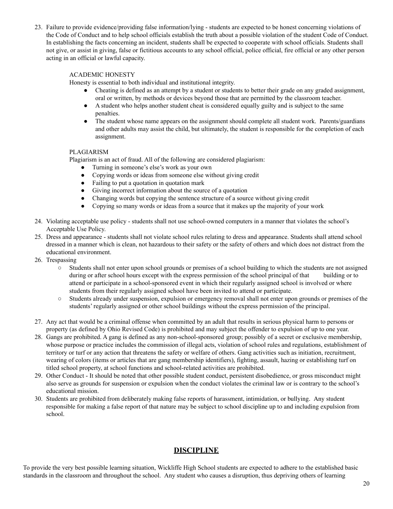23. Failure to provide evidence/providing false information/lying - students are expected to be honest concerning violations of the Code of Conduct and to help school officials establish the truth about a possible violation of the student Code of Conduct. In establishing the facts concerning an incident, students shall be expected to cooperate with school officials. Students shall not give, or assist in giving, false or fictitious accounts to any school official, police official, fire official or any other person acting in an official or lawful capacity.

#### ACADEMIC HONESTY

Honesty is essential to both individual and institutional integrity.

- Cheating is defined as an attempt by a student or students to better their grade on any graded assignment, oral or written, by methods or devices beyond those that are permitted by the classroom teacher.
- A student who helps another student cheat is considered equally guilty and is subject to the same penalties.
- The student whose name appears on the assignment should complete all student work. Parents/guardians and other adults may assist the child, but ultimately, the student is responsible for the completion of each assignment.

#### PLAGIARISM

Plagiarism is an act of fraud. All of the following are considered plagiarism:

- Turning in someone's else's work as your own
- Copying words or ideas from someone else without giving credit
- Failing to put a quotation in quotation mark
- Giving incorrect information about the source of a quotation
- Changing words but copying the sentence structure of a source without giving credit
- Copying so many words or ideas from a source that it makes up the majority of your work
- 24. Violating acceptable use policy students shall not use school-owned computers in a manner that violates the school's Acceptable Use Policy.
- 25. Dress and appearance students shall not violate school rules relating to dress and appearance. Students shall attend school dressed in a manner which is clean, not hazardous to their safety or the safety of others and which does not distract from the educational environment.
- 26. Trespassing
	- Students shall not enter upon school grounds or premises of a school building to which the students are not assigned during or after school hours except with the express permission of the school principal of that building or to attend or participate in a school-sponsored event in which their regularly assigned school is involved or where students from their regularly assigned school have been invited to attend or participate.
	- Students already under suspension, expulsion or emergency removal shall not enter upon grounds or premises of the students' regularly assigned or other school buildings without the express permission of the principal.
- 27. Any act that would be a criminal offense when committed by an adult that results in serious physical harm to persons or property (as defined by Ohio Revised Code) is prohibited and may subject the offender to expulsion of up to one year.
- 28. Gangs are prohibited. A gang is defined as any non-school-sponsored group; possibly of a secret or exclusive membership, whose purpose or practice includes the commission of illegal acts, violation of school rules and regulations, establishment of territory or turf or any action that threatens the safety or welfare of others. Gang activities such as initiation, recruitment, wearing of colors (items or articles that are gang membership identifiers), fighting, assault, hazing or establishing turf on titled school property, at school functions and school-related activities are prohibited.
- 29. Other Conduct It should be noted that other possible student conduct, persistent disobedience, or gross misconduct might also serve as grounds for suspension or expulsion when the conduct violates the criminal law or is contrary to the school's educational mission.
- 30. Students are prohibited from deliberately making false reports of harassment, intimidation, or bullying. Any student responsible for making a false report of that nature may be subject to school discipline up to and including expulsion from school.

## **DISCIPLINE**

To provide the very best possible learning situation, Wickliffe High School students are expected to adhere to the established basic standards in the classroom and throughout the school. Any student who causes a disruption, thus depriving others of learning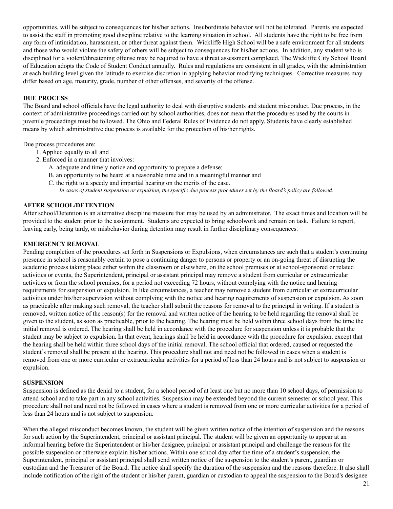opportunities, will be subject to consequences for his/her actions. Insubordinate behavior will not be tolerated. Parents are expected to assist the staff in promoting good discipline relative to the learning situation in school. All students have the right to be free from any form of intimidation, harassment, or other threat against them. Wickliffe High School will be a safe environment for all students and those who would violate the safety of others will be subject to consequences for his/her actions. In addition, any student who is disciplined for a violent/threatening offense may be required to have a threat assessment completed. The Wickliffe City School Board of Education adopts the Code of Student Conduct annually. Rules and regulations are consistent in all grades, with the administration at each building level given the latitude to exercise discretion in applying behavior modifying techniques. Corrective measures may differ based on age, maturity, grade, number of other offenses, and severity of the offense.

#### **DUE PROCESS**

The Board and school officials have the legal authority to deal with disruptive students and student misconduct. Due process, in the context of administrative proceedings carried out by school authorities, does not mean that the procedures used by the courts in juvenile proceedings must be followed. The Ohio and Federal Rules of Evidence do not apply. Students have clearly established means by which administrative due process is available for the protection of his/her rights.

Due process procedures are:

- 1. Applied equally to all and
- 2. Enforced in a manner that involves:
	- A. adequate and timely notice and opportunity to prepare a defense;
	- B. an opportunity to be heard at a reasonable time and in a meaningful manner and
	- C. the right to a speedy and impartial hearing on the merits of the case.

*In cases of student suspension or expulsion, the specific due process procedures set by the Board's policy are followed.*

#### **AFTER SCHOOL/DETENTION**

After school/Detention is an alternative discipline measure that may be used by an administrator. The exact times and location will be provided to the student prior to the assignment. Students are expected to bring schoolwork and remain on task. Failure to report, leaving early, being tardy, or misbehavior during detention may result in further disciplinary consequences.

#### **EMERGENCY REMOVAL**

Pending completion of the procedures set forth in Suspensions or Expulsions, when circumstances are such that a student's continuing presence in school is reasonably certain to pose a continuing danger to persons or property or an on-going threat of disrupting the academic process taking place either within the classroom or elsewhere, on the school premises or at school-sponsored or related activities or events, the Superintendent, principal or assistant principal may remove a student from curricular or extracurricular activities or from the school premises, for a period not exceeding 72 hours, without complying with the notice and hearing requirements for suspension or expulsion. In like circumstances, a teacher may remove a student from curricular or extracurricular activities under his/her supervision without complying with the notice and hearing requirements of suspension or expulsion. As soon as practicable after making such removal, the teacher shall submit the reasons for removal to the principal in writing. If a student is removed, written notice of the reason(s) for the removal and written notice of the hearing to be held regarding the removal shall be given to the student, as soon as practicable, prior to the hearing. The hearing must be held within three school days from the time the initial removal is ordered. The hearing shall be held in accordance with the procedure for suspension unless it is probable that the student may be subject to expulsion. In that event, hearings shall be held in accordance with the procedure for expulsion, except that the hearing shall be held within three school days of the initial removal. The school official that ordered, caused or requested the student's removal shall be present at the hearing. This procedure shall not and need not be followed in cases when a student is removed from one or more curricular or extracurricular activities for a period of less than 24 hours and is not subject to suspension or expulsion.

#### **SUSPENSION**

Suspension is defined as the denial to a student, for a school period of at least one but no more than 10 school days, of permission to attend school and to take part in any school activities. Suspension may be extended beyond the current semester or school year. This procedure shall not and need not be followed in cases where a student is removed from one or more curricular activities for a period of less than 24 hours and is not subject to suspension.

When the alleged misconduct becomes known, the student will be given written notice of the intention of suspension and the reasons for such action by the Superintendent, principal or assistant principal. The student will be given an opportunity to appear at an informal hearing before the Superintendent or his/her designee, principal or assistant principal and challenge the reasons for the possible suspension or otherwise explain his/her actions. Within one school day after the time of a student's suspension, the Superintendent, principal or assistant principal shall send written notice of the suspension to the student's parent, guardian or custodian and the Treasurer of the Board. The notice shall specify the duration of the suspension and the reasons therefore. It also shall include notification of the right of the student or his/her parent, guardian or custodian to appeal the suspension to the Board's designee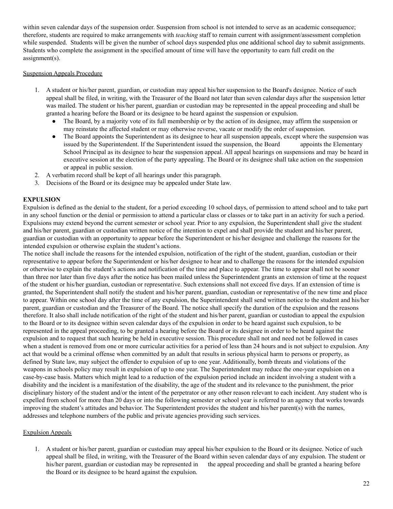within seven calendar days of the suspension order. Suspension from school is not intended to serve as an academic consequence; therefore, students are required to make arrangements with *teaching* staff to remain current with assignment/assessment completion while suspended. Students will be given the number of school days suspended plus one additional school day to submit assignments. Students who complete the assignment in the specified amount of time will have the opportunity to earn full credit on the assignment(s).

#### Suspension Appeals Procedure

- 1. A student or his/her parent, guardian, or custodian may appeal his/her suspension to the Board's designee. Notice of such appeal shall be filed, in writing, with the Treasurer of the Board not later than seven calendar days after the suspension letter was mailed. The student or his/her parent, guardian or custodian may be represented in the appeal proceeding and shall be granted a hearing before the Board or its designee to be heard against the suspension or expulsion.
	- The Board, by a majority vote of its full membership or by the action of its designee, may affirm the suspension or may reinstate the affected student or may otherwise reverse, vacate or modify the order of suspension.
	- The Board appoints the Superintendent as its designee to hear all suspension appeals, except where the suspension was issued by the Superintendent. If the Superintendent issued the suspension, the Board appoints the Elementary School Principal as its designee to hear the suspension appeal. All appeal hearings on suspensions and may be heard in executive session at the election of the party appealing. The Board or its designee shall take action on the suspension or appeal in public session.
- 2. A verbatim record shall be kept of all hearings under this paragraph.
- 3. Decisions of the Board or its designee may be appealed under State law.

#### **EXPULSION**

Expulsion is defined as the denial to the student, for a period exceeding 10 school days, of permission to attend school and to take part in any school function or the denial or permission to attend a particular class or classes or to take part in an activity for such a period. Expulsions may extend beyond the current semester or school year. Prior to any expulsion, the Superintendent shall give the student and his/her parent, guardian or custodian written notice of the intention to expel and shall provide the student and his/her parent, guardian or custodian with an opportunity to appear before the Superintendent or his/her designee and challenge the reasons for the intended expulsion or otherwise explain the student's actions.

The notice shall include the reasons for the intended expulsion, notification of the right of the student, guardian, custodian or their representative to appear before the Superintendent or his/her designee to hear and to challenge the reasons for the intended expulsion or otherwise to explain the student's actions and notification of the time and place to appear. The time to appear shall not be sooner than three nor later than five days after the notice has been mailed unless the Superintendent grants an extension of time at the request of the student or his/her guardian, custodian or representative. Such extensions shall not exceed five days. If an extension of time is granted, the Superintendent shall notify the student and his/her parent, guardian, custodian or representative of the new time and place to appear. Within one school day after the time of any expulsion, the Superintendent shall send written notice to the student and his/her parent, guardian or custodian and the Treasurer of the Board. The notice shall specify the duration of the expulsion and the reasons therefore. It also shall include notification of the right of the student and his/her parent, guardian or custodian to appeal the expulsion to the Board or to its designee within seven calendar days of the expulsion in order to be heard against such expulsion, to be represented in the appeal proceeding, to be granted a hearing before the Board or its designee in order to be heard against the expulsion and to request that such hearing be held in executive session. This procedure shall not and need not be followed in cases when a student is removed from one or more curricular activities for a period of less than 24 hours and is not subject to expulsion. Any act that would be a criminal offense when committed by an adult that results in serious physical harm to persons or property, as defined by State law, may subject the offender to expulsion of up to one year. Additionally, bomb threats and violations of the weapons in schools policy may result in expulsion of up to one year. The Superintendent may reduce the one-year expulsion on a case-by-case basis. Matters which might lead to a reduction of the expulsion period include an incident involving a student with a disability and the incident is a manifestation of the disability, the age of the student and its relevance to the punishment, the prior disciplinary history of the student and/or the intent of the perpetrator or any other reason relevant to each incident. Any student who is expelled from school for more than 20 days or into the following semester or school year is referred to an agency that works towards improving the student's attitudes and behavior. The Superintendent provides the student and his/her parent(s) with the names, addresses and telephone numbers of the public and private agencies providing such services.

#### Expulsion Appeals

1. A student or his/her parent, guardian or custodian may appeal his/her expulsion to the Board or its designee. Notice of such appeal shall be filed, in writing, with the Treasurer of the Board within seven calendar days of any expulsion. The student or his/her parent, guardian or custodian may be represented in the appeal proceeding and shall be granted a hearing before the Board or its designee to be heard against the expulsion.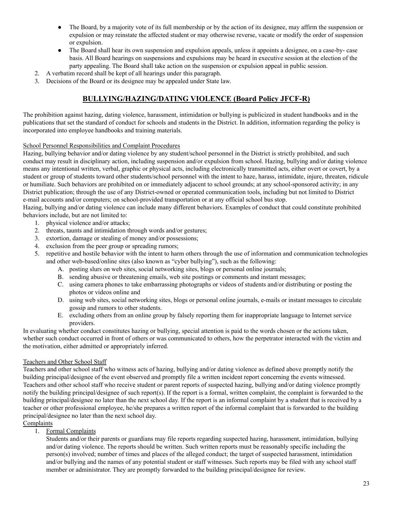- The Board, by a majority vote of its full membership or by the action of its designee, may affirm the suspension or expulsion or may reinstate the affected student or may otherwise reverse, vacate or modify the order of suspension or expulsion.
- The Board shall hear its own suspension and expulsion appeals, unless it appoints a designee, on a case-by- case basis. All Board hearings on suspensions and expulsions may be heard in executive session at the election of the party appealing. The Board shall take action on the suspension or expulsion appeal in public session.
- 2. A verbatim record shall be kept of all hearings under this paragraph.
- 3. Decisions of the Board or its designee may be appealed under State law.

## **BULLYING/HAZING/DATING VIOLENCE (Board Policy JFCF-R)**

The prohibition against hazing, dating violence, harassment, intimidation or bullying is publicized in student handbooks and in the publications that set the standard of conduct for schools and students in the District. In addition, information regarding the policy is incorporated into employee handbooks and training materials.

#### School Personnel Responsibilities and Complaint Procedures

Hazing, bullying behavior and/or dating violence by any student/school personnel in the District is strictly prohibited, and such conduct may result in disciplinary action, including suspension and/or expulsion from school. Hazing, bullying and/or dating violence means any intentional written, verbal, graphic or physical acts, including electronically transmitted acts, either overt or covert, by a student or group of students toward other students/school personnel with the intent to haze, harass, intimidate, injure, threaten, ridicule or humiliate. Such behaviors are prohibited on or immediately adjacent to school grounds; at any school-sponsored activity; in any District publication; through the use of any District-owned or operated communication tools, including but not limited to District e-mail accounts and/or computers; on school-provided transportation or at any official school bus stop.

Hazing, bullying and/or dating violence can include many different behaviors. Examples of conduct that could constitute prohibited behaviors include, but are not limited to:

- 1. physical violence and/or attacks;
- 2. threats, taunts and intimidation through words and/or gestures;
- 3. extortion, damage or stealing of money and/or possessions;
- 4. exclusion from the peer group or spreading rumors;
- 5. repetitive and hostile behavior with the intent to harm others through the use of information and communication technologies and other web-based/online sites (also known as "cyber bullying"), such as the following:
	- A. posting slurs on web sites, social networking sites, blogs or personal online journals;
	- B. sending abusive or threatening emails, web site postings or comments and instant messages;
	- C. using camera phones to take embarrassing photographs or videos of students and/or distributing or posting the photos or videos online and
	- D. using web sites, social networking sites, blogs or personal online journals, e-mails or instant messages to circulate gossip and rumors to other students.
	- E. excluding others from an online group by falsely reporting them for inappropriate language to Internet service providers.

In evaluating whether conduct constitutes hazing or bullying, special attention is paid to the words chosen or the actions taken, whether such conduct occurred in front of others or was communicated to others, how the perpetrator interacted with the victim and the motivation, either admitted or appropriately inferred.

#### Teachers and Other School Staff

Teachers and other school staff who witness acts of hazing, bullying and/or dating violence as defined above promptly notify the building principal/designee of the event observed and promptly file a written incident report concerning the events witnessed. Teachers and other school staff who receive student or parent reports of suspected hazing, bullying and/or dating violence promptly notify the building principal/designee of such report(s). If the report is a formal, written complaint, the complaint is forwarded to the building principal/designee no later than the next school day. If the report is an informal complaint by a student that is received by a teacher or other professional employee, he/she prepares a written report of the informal complaint that is forwarded to the building principal/designee no later than the next school day.

**Complaints** 

1. Formal Complaints

Students and/or their parents or guardians may file reports regarding suspected hazing, harassment, intimidation, bullying and/or dating violence. The reports should be written. Such written reports must be reasonably specific including the person(s) involved; number of times and places of the alleged conduct; the target of suspected harassment, intimidation and/or bullying and the names of any potential student or staff witnesses. Such reports may be filed with any school staff member or administrator. They are promptly forwarded to the building principal/designee for review.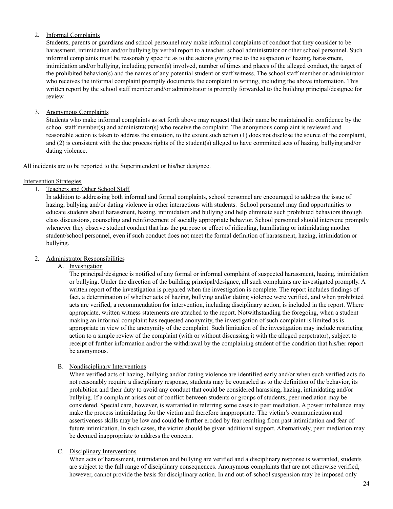## 2. Informal Complaints

Students, parents or guardians and school personnel may make informal complaints of conduct that they consider to be harassment, intimidation and/or bullying by verbal report to a teacher, school administrator or other school personnel. Such informal complaints must be reasonably specific as to the actions giving rise to the suspicion of hazing, harassment, intimidation and/or bullying, including person(s) involved, number of times and places of the alleged conduct, the target of the prohibited behavior(s) and the names of any potential student or staff witness. The school staff member or administrator who receives the informal complaint promptly documents the complaint in writing, including the above information. This written report by the school staff member and/or administrator is promptly forwarded to the building principal/designee for review.

## 3. Anonymous Complaints

Students who make informal complaints as set forth above may request that their name be maintained in confidence by the school staff member(s) and administrator(s) who receive the complaint. The anonymous complaint is reviewed and reasonable action is taken to address the situation, to the extent such action (1) does not disclose the source of the complaint, and (2) is consistent with the due process rights of the student(s) alleged to have committed acts of hazing, bullying and/or dating violence.

All incidents are to be reported to the Superintendent or his/her designee.

## Intervention Strategies

1. Teachers and Other School Staff

In addition to addressing both informal and formal complaints, school personnel are encouraged to address the issue of hazing, bullying and/or dating violence in other interactions with students. School personnel may find opportunities to educate students about harassment, hazing, intimidation and bullying and help eliminate such prohibited behaviors through class discussions, counseling and reinforcement of socially appropriate behavior. School personnel should intervene promptly whenever they observe student conduct that has the purpose or effect of ridiculing, humiliating or intimidating another student/school personnel, even if such conduct does not meet the formal definition of harassment, hazing, intimidation or bullying.

## 2. Administrator Responsibilities

A. Investigation

The principal/designee is notified of any formal or informal complaint of suspected harassment, hazing, intimidation or bullying. Under the direction of the building principal/designee, all such complaints are investigated promptly. A written report of the investigation is prepared when the investigation is complete. The report includes findings of fact, a determination of whether acts of hazing, bullying and/or dating violence were verified, and when prohibited acts are verified, a recommendation for intervention, including disciplinary action, is included in the report. Where appropriate, written witness statements are attached to the report. Notwithstanding the foregoing, when a student making an informal complaint has requested anonymity, the investigation of such complaint is limited as is appropriate in view of the anonymity of the complaint. Such limitation of the investigation may include restricting action to a simple review of the complaint (with or without discussing it with the alleged perpetrator), subject to receipt of further information and/or the withdrawal by the complaining student of the condition that his/her report be anonymous.

## B. Nondisciplinary Interventions

When verified acts of hazing, bullying and/or dating violence are identified early and/or when such verified acts do not reasonably require a disciplinary response, students may be counseled as to the definition of the behavior, its prohibition and their duty to avoid any conduct that could be considered harassing, hazing, intimidating and/or bullying. If a complaint arises out of conflict between students or groups of students, peer mediation may be considered. Special care, however, is warranted in referring some cases to peer mediation. A power imbalance may make the process intimidating for the victim and therefore inappropriate. The victim's communication and assertiveness skills may be low and could be further eroded by fear resulting from past intimidation and fear of future intimidation. In such cases, the victim should be given additional support. Alternatively, peer mediation may be deemed inappropriate to address the concern.

#### C. Disciplinary Interventions

When acts of harassment, intimidation and bullying are verified and a disciplinary response is warranted, students are subject to the full range of disciplinary consequences. Anonymous complaints that are not otherwise verified, however, cannot provide the basis for disciplinary action. In and out-of-school suspension may be imposed only